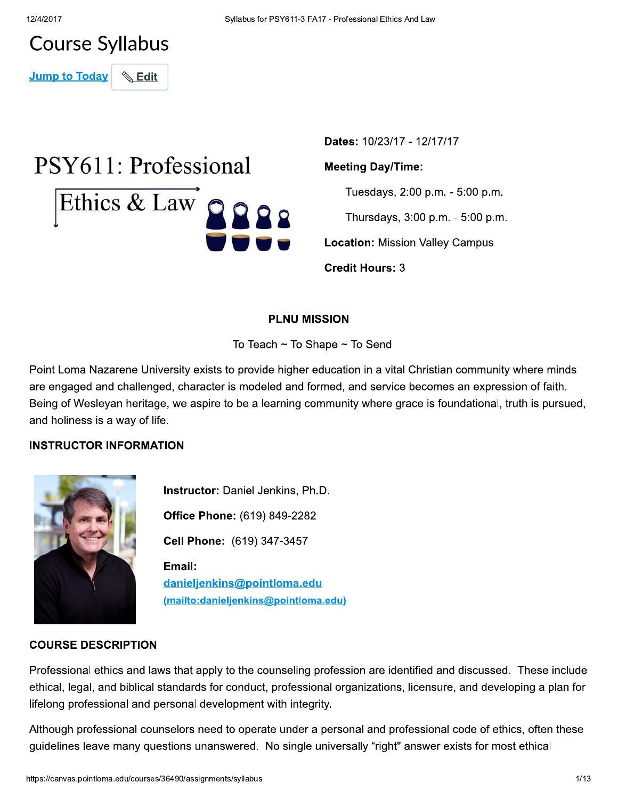# **Course Syllabus**

**Jump to Today Edit** 

# PSY611: Professional Ethics & Law Q Q Q Q

Dates: 10/23/17 - 12/17/17

#### **Meeting Day/Time:**

Tuesdays, 2:00 p.m. - 5:00 p.m.

Thursdays, 3:00 p.m. - 5:00 p.m.

**Location: Mission Valley Campus** 

**Credit Hours: 3** 

# **PLNU MISSION**

To Teach  $\sim$  To Shape  $\sim$  To Send

Point Loma Nazarene University exists to provide higher education in a vital Christian community where minds are engaged and challenged, character is modeled and formed, and service becomes an expression of faith. Being of Wesleyan heritage, we aspire to be a learning community where grace is foundational, truth is pursued, and holiness is a way of life.

# **INSTRUCTOR INFORMATION**



Instructor: Daniel Jenkins, Ph.D. Office Phone: (619) 849-2282 Cell Phone: (619) 347-3457 Email: danieljenkins@pointloma.edu (mailto:danieljenkins@pointloma.edu)

#### **COURSE DESCRIPTION**

Professional ethics and laws that apply to the counseling profession are identified and discussed. These include ethical, legal, and biblical standards for conduct, professional organizations, licensure, and developing a plan for lifelong professional and personal development with integrity.

Although professional counselors need to operate under a personal and professional code of ethics, often these guidelines leave many questions unanswered. No single universally "right" answer exists for most ethical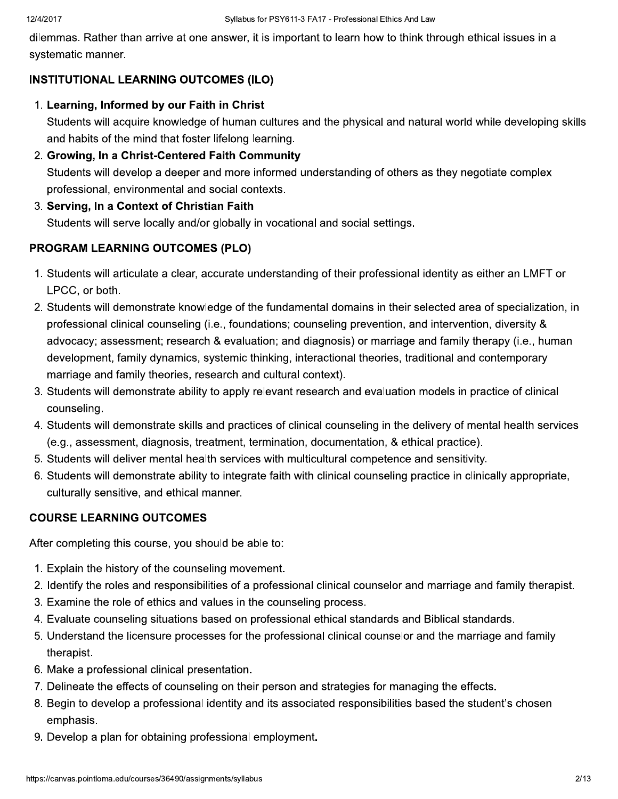dilemmas. Rather than arrive at one answer, it is important to learn how to think through ethical issues in a systematic manner.

# **INSTITUTIONAL LEARNING OUTCOMES (ILO)**

1. Learning, Informed by our Faith in Christ

Students will acquire knowledge of human cultures and the physical and natural world while developing skills and habits of the mind that foster lifelong learning.

- 2. Growing, In a Christ-Centered Faith Community Students will develop a deeper and more informed understanding of others as they negotiate complex professional, environmental and social contexts.
- 3. Serving, In a Context of Christian Faith Students will serve locally and/or globally in vocational and social settings.

# **PROGRAM LEARNING OUTCOMES (PLO)**

- 1. Students will articulate a clear, accurate understanding of their professional identity as either an LMFT or LPCC, or both.
- 2. Students will demonstrate knowledge of the fundamental domains in their selected area of specialization, in professional clinical counseling (i.e., foundations; counseling prevention, and intervention, diversity & advocacy; assessment; research & evaluation; and diagnosis) or marriage and family therapy (i.e., human development, family dynamics, systemic thinking, interactional theories, traditional and contemporary marriage and family theories, research and cultural context).
- 3. Students will demonstrate ability to apply relevant research and evaluation models in practice of clinical counseling.
- 4. Students will demonstrate skills and practices of clinical counseling in the delivery of mental health services (e.g., assessment, diagnosis, treatment, termination, documentation, & ethical practice).
- 5. Students will deliver mental health services with multicultural competence and sensitivity.
- 6. Students will demonstrate ability to integrate faith with clinical counseling practice in clinically appropriate, culturally sensitive, and ethical manner.

# **COURSE LEARNING OUTCOMES**

After completing this course, you should be able to:

- 1. Explain the history of the counseling movement.
- 2. Identify the roles and responsibilities of a professional clinical counselor and marriage and family therapist.
- 3. Examine the role of ethics and values in the counseling process.
- 4. Evaluate counseling situations based on professional ethical standards and Biblical standards.
- 5. Understand the licensure processes for the professional clinical counselor and the marriage and family therapist.
- 6. Make a professional clinical presentation.
- 7. Delineate the effects of counseling on their person and strategies for managing the effects.
- 8. Begin to develop a professional identity and its associated responsibilities based the student's chosen emphasis.
- 9. Develop a plan for obtaining professional employment.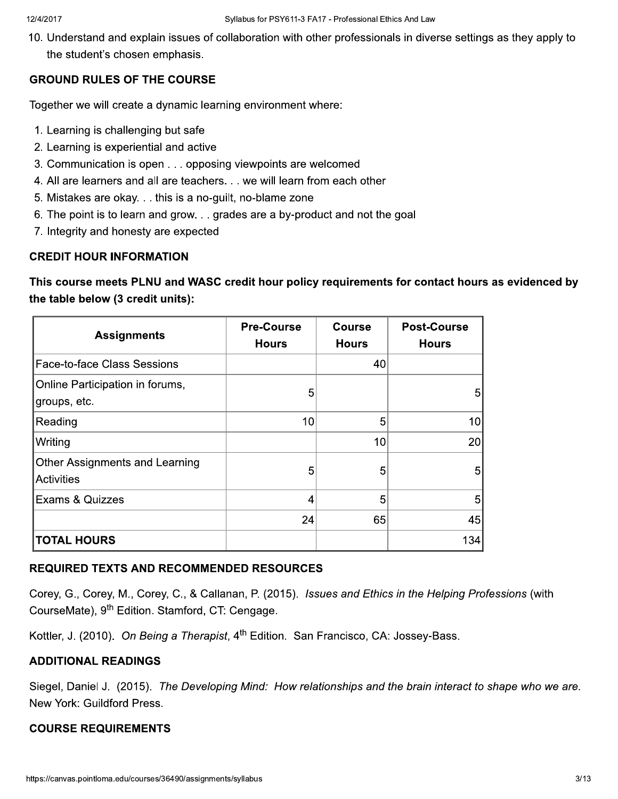10. Understand and explain issues of collaboration with other professionals in diverse settings as they apply to the student's chosen emphasis.

# **GROUND RULES OF THE COURSE**

Together we will create a dynamic learning environment where:

- 1. Learning is challenging but safe
- 2. Learning is experiential and active
- 3. Communication is open . . . opposing viewpoints are welcomed
- 4. All are learners and all are teachers. . . we will learn from each other
- 5. Mistakes are okay. . . this is a no-guilt, no-blame zone
- 6. The point is to learn and grow. . . grades are a by-product and not the goal
- 7. Integrity and honesty are expected

# **CREDIT HOUR INFORMATION**

This course meets PLNU and WASC credit hour policy requirements for contact hours as evidenced by the table below (3 credit units):

| <b>Assignments</b>                              | <b>Pre-Course</b><br><b>Hours</b> | <b>Course</b><br><b>Hours</b> | <b>Post-Course</b><br><b>Hours</b> |
|-------------------------------------------------|-----------------------------------|-------------------------------|------------------------------------|
| Face-to-face Class Sessions                     |                                   | 40                            |                                    |
| Online Participation in forums,<br>groups, etc. | 5                                 |                               | 5                                  |
| Reading                                         | 10                                | 5                             | 10                                 |
| Writing                                         |                                   | 10                            | 20                                 |
| Other Assignments and Learning<br>Activities    | 5                                 | 5                             | 5                                  |
| Exams & Quizzes                                 | 4                                 | 5                             | 5                                  |
|                                                 | 24                                | 65                            | 45                                 |
| <b>TOTAL HOURS</b>                              |                                   |                               | 134                                |

# **REQUIRED TEXTS AND RECOMMENDED RESOURCES**

Corey, G., Corey, M., Corey, C., & Callanan, P. (2015). Issues and Ethics in the Helping Professions (with CourseMate), 9<sup>th</sup> Edition. Stamford, CT: Cengage.

Kottler, J. (2010). On Being a Therapist, 4<sup>th</sup> Edition. San Francisco, CA: Jossey-Bass.

# **ADDITIONAL READINGS**

Siegel, Daniel J. (2015). The Developing Mind: How relationships and the brain interact to shape who we are. New York: Guildford Press.

# **COURSE REQUIREMENTS**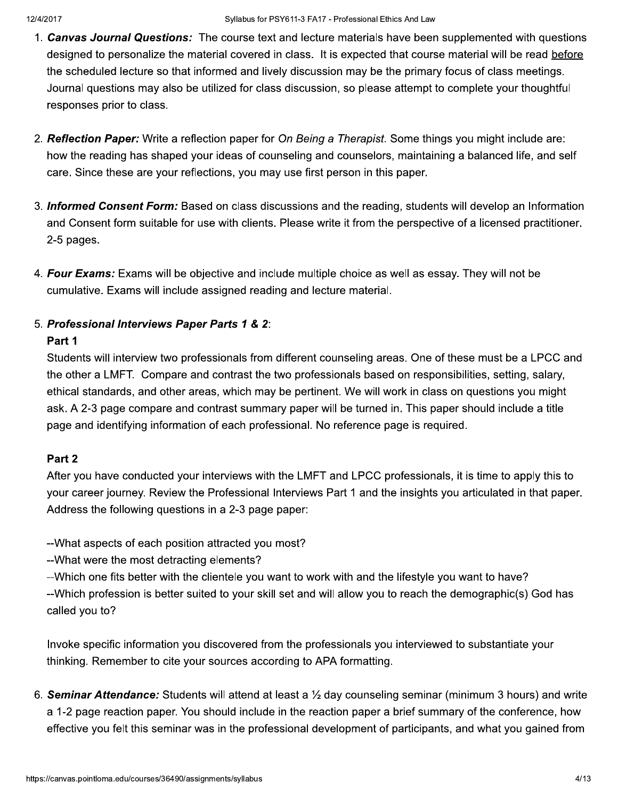- 1. Canvas Journal Questions: The course text and lecture materials have been supplemented with questions designed to personalize the material covered in class. It is expected that course material will be read before the scheduled lecture so that informed and lively discussion may be the primary focus of class meetings. Journal questions may also be utilized for class discussion, so please attempt to complete your thoughtful responses prior to class.
- 2. Reflection Paper: Write a reflection paper for On Being a Therapist. Some things you might include are: how the reading has shaped your ideas of counseling and counselors, maintaining a balanced life, and self care. Since these are your reflections, you may use first person in this paper.
- 3. Informed Consent Form: Based on class discussions and the reading, students will develop an Information and Consent form suitable for use with clients. Please write it from the perspective of a licensed practitioner. 2-5 pages.
- 4. Four Exams: Exams will be objective and include multiple choice as well as essay. They will not be cumulative. Exams will include assigned reading and lecture material.

# 5. Professional Interviews Paper Parts 1 & 2:

#### Part 1

Students will interview two professionals from different counseling areas. One of these must be a LPCC and the other a LMFT. Compare and contrast the two professionals based on responsibilities, setting, salary, ethical standards, and other areas, which may be pertinent. We will work in class on questions you might ask. A 2-3 page compare and contrast summary paper will be turned in. This paper should include a title page and identifying information of each professional. No reference page is required.

# Part 2

After you have conducted your interviews with the LMFT and LPCC professionals, it is time to apply this to your career journey. Review the Professional Interviews Part 1 and the insights you articulated in that paper. Address the following questions in a 2-3 page paper:

--What aspects of each position attracted you most?

- -- What were the most detracting elements?
- --Which one fits better with the clientele you want to work with and the lifestyle you want to have?

--Which profession is better suited to your skill set and will allow you to reach the demographic(s) God has called you to?

Invoke specific information you discovered from the professionals you interviewed to substantiate your thinking. Remember to cite your sources according to APA formatting.

6. Seminar Attendance: Students will attend at least a 1/2 day counseling seminar (minimum 3 hours) and write a 1-2 page reaction paper. You should include in the reaction paper a brief summary of the conference, how effective you felt this seminar was in the professional development of participants, and what you gained from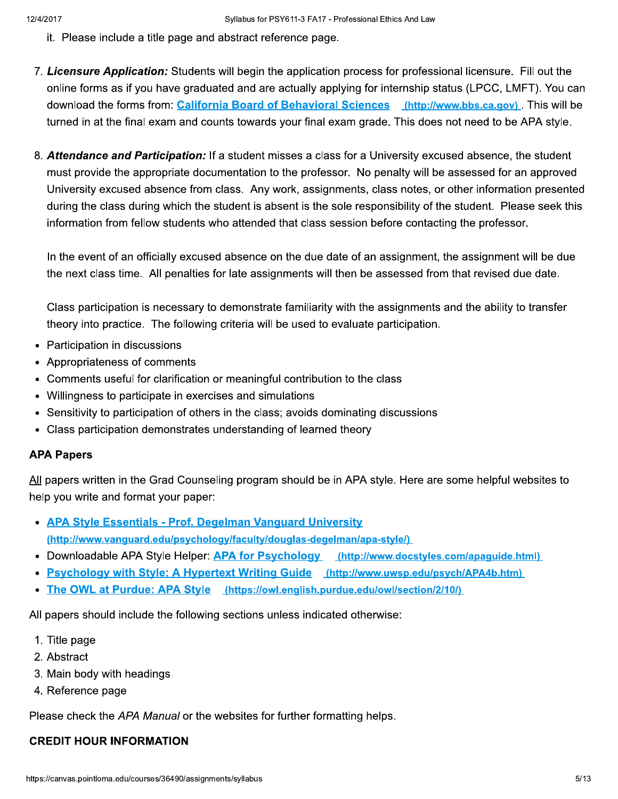- it. Please include a title page and abstract reference page.
- 7. Licensure Application: Students will begin the application process for professional licensure. Fill out the online forms as if you have graduated and are actually applying for internship status (LPCC, LMFT). You can download the forms from: California Board of Behavioral Sciences (http://www.bbs.ca.gov). This will be turned in at the final exam and counts towards your final exam grade. This does not need to be APA style.
- 8. Attendance and Participation: If a student misses a class for a University excused absence, the student must provide the appropriate documentation to the professor. No penalty will be assessed for an approved University excused absence from class. Any work, assignments, class notes, or other information presented during the class during which the student is absent is the sole responsibility of the student. Please seek this information from fellow students who attended that class session before contacting the professor.

In the event of an officially excused absence on the due date of an assignment, the assignment will be due the next class time. All penalties for late assignments will then be assessed from that revised due date.

Class participation is necessary to demonstrate familiarity with the assignments and the ability to transfer theory into practice. The following criteria will be used to evaluate participation.

- Participation in discussions
- Appropriateness of comments
- Comments useful for clarification or meaningful contribution to the class
- Willingness to participate in exercises and simulations
- Sensitivity to participation of others in the class; avoids dominating discussions
- Class participation demonstrates understanding of learned theory

#### **APA Papers**

All papers written in the Grad Counseling program should be in APA style. Here are some helpful websites to help you write and format your paper:

- APA Style Essentials Prof. Degelman Vanguard University (http://www.vanguard.edu/psychology/faculty/douglas-degelman/apa-style/)
- Downloadable APA Style Helper: APA for Psychology (http://www.docstyles.com/apaguide.html)
- Psychology with Style: A Hypertext Writing Guide (http://www.uwsp.edu/psych/APA4b.htm)
- The OWL at Purdue: APA Style (https://owl.english.purdue.edu/owl/section/2/10/)

All papers should include the following sections unless indicated otherwise:

- 1. Title page
- 2. Abstract
- 3. Main body with headings
- 4. Reference page

Please check the APA Manual or the websites for further formatting helps.

#### **CREDIT HOUR INFORMATION**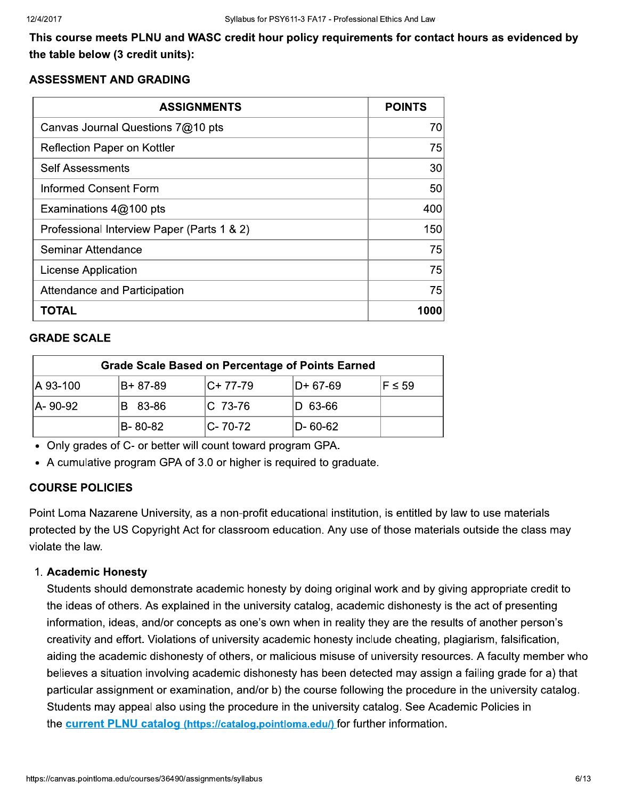This course meets PLNU and WASC credit hour policy requirements for contact hours as evidenced by the table below (3 credit units):

#### **ASSESSMENT AND GRADING**

| <b>ASSIGNMENTS</b>                         | <b>POINTS</b> |
|--------------------------------------------|---------------|
| Canvas Journal Questions 7@10 pts          | 70            |
| Reflection Paper on Kottler                | 75            |
| <b>Self Assessments</b>                    | 30            |
| <b>Informed Consent Form</b>               | 50            |
| Examinations 4@100 pts                     | 400           |
| Professional Interview Paper (Parts 1 & 2) | 150           |
| <b>Seminar Attendance</b>                  | 75            |
| <b>License Application</b>                 | 75            |
| Attendance and Participation               | 75            |
| TOTAL                                      | 1000          |

#### **GRADE SCALE**

| <b>Grade Scale Based on Percentage of Points Earned</b> |           |              |           |             |
|---------------------------------------------------------|-----------|--------------|-----------|-------------|
| A 93-100                                                | IB+ 87-89 | $ C+ 77-79 $ | ID+ 67-69 | $F \leq 59$ |
| A-90-92                                                 | B 83-86   | IC 73-76     | D 63-66   |             |
|                                                         | IB- 80-82 | IC- 70-72    | D- 60-62  |             |

• Only grades of C- or better will count toward program GPA.

• A cumulative program GPA of 3.0 or higher is required to graduate.

#### **COURSE POLICIES**

Point Loma Nazarene University, as a non-profit educational institution, is entitled by law to use materials protected by the US Copyright Act for classroom education. Any use of those materials outside the class may violate the law.

#### 1. Academic Honesty

Students should demonstrate academic honesty by doing original work and by giving appropriate credit to the ideas of others. As explained in the university catalog, academic dishonesty is the act of presenting information, ideas, and/or concepts as one's own when in reality they are the results of another person's creativity and effort. Violations of university academic honesty include cheating, plagiarism, falsification, aiding the academic dishonesty of others, or malicious misuse of university resources. A faculty member who believes a situation involving academic dishonesty has been detected may assign a failing grade for a) that particular assignment or examination, and/or b) the course following the procedure in the university catalog. Students may appeal also using the procedure in the university catalog. See Academic Policies in the current PLNU catalog (https://catalog.pointloma.edu/) for further information.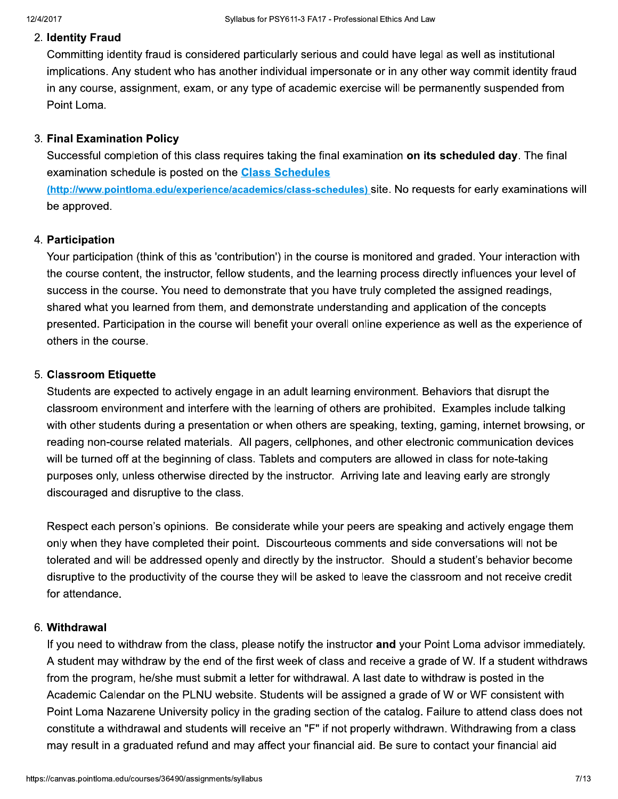### 2. Identity Fraud

Committing identity fraud is considered particularly serious and could have legal as well as institutional implications. Any student who has another individual impersonate or in any other way commit identity fraud in any course, assignment, exam, or any type of academic exercise will be permanently suspended from Point Loma.

#### 3. Final Examination Policy

Successful completion of this class requires taking the final examination on its scheduled day. The final examination schedule is posted on the **Class Schedules** 

(http://www.pointloma.edu/experience/academics/class-schedules) site. No requests for early examinations will be approved.

#### 4. Participation

Your participation (think of this as 'contribution') in the course is monitored and graded. Your interaction with the course content, the instructor, fellow students, and the learning process directly influences your level of success in the course. You need to demonstrate that you have truly completed the assigned readings, shared what you learned from them, and demonstrate understanding and application of the concepts presented. Participation in the course will benefit your overall online experience as well as the experience of others in the course.

#### 5. Classroom Etiquette

Students are expected to actively engage in an adult learning environment. Behaviors that disrupt the classroom environment and interfere with the learning of others are prohibited. Examples include talking with other students during a presentation or when others are speaking, texting, gaming, internet browsing, or reading non-course related materials. All pagers, cellphones, and other electronic communication devices will be turned off at the beginning of class. Tablets and computers are allowed in class for note-taking purposes only, unless otherwise directed by the instructor. Arriving late and leaving early are strongly discouraged and disruptive to the class.

Respect each person's opinions. Be considerate while your peers are speaking and actively engage them only when they have completed their point. Discourteous comments and side conversations will not be tolerated and will be addressed openly and directly by the instructor. Should a student's behavior become disruptive to the productivity of the course they will be asked to leave the classroom and not receive credit for attendance.

#### 6. Withdrawal

If you need to withdraw from the class, please notify the instructor and your Point Loma advisor immediately. A student may withdraw by the end of the first week of class and receive a grade of W. If a student withdraws from the program, he/she must submit a letter for withdrawal. A last date to withdraw is posted in the Academic Calendar on the PLNU website. Students will be assigned a grade of W or WF consistent with Point Loma Nazarene University policy in the grading section of the catalog. Failure to attend class does not constitute a withdrawal and students will receive an "F" if not properly withdrawn. Withdrawing from a class may result in a graduated refund and may affect your financial aid. Be sure to contact your financial aid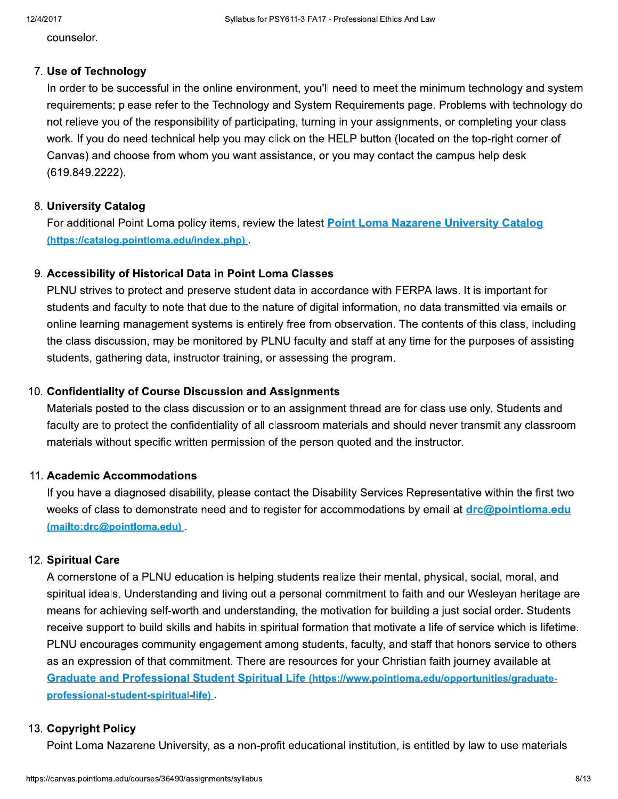counselor.

### 7. Use of Technology

In order to be successful in the online environment, you'll need to meet the minimum technology and system requirements; please refer to the Technology and System Requirements page. Problems with technology do not relieve you of the responsibility of participating, turning in your assignments, or completing your class work. If you do need technical help you may click on the HELP button (located on the top-right corner of Canvas) and choose from whom you want assistance, or you may contact the campus help desk  $(619.849.2222)$ .

# 8. University Catalog

For additional Point Loma policy items, review the latest Point Loma Nazarene University Catalog (https://catalog.pointloma.edu/index.php)

# 9. Accessibility of Historical Data in Point Loma Classes

PLNU strives to protect and preserve student data in accordance with FERPA laws. It is important for students and faculty to note that due to the nature of digital information, no data transmitted via emails or online learning management systems is entirely free from observation. The contents of this class, including the class discussion, may be monitored by PLNU faculty and staff at any time for the purposes of assisting students, gathering data, instructor training, or assessing the program.

# 10. Confidentiality of Course Discussion and Assignments

Materials posted to the class discussion or to an assignment thread are for class use only. Students and faculty are to protect the confidentiality of all classroom materials and should never transmit any classroom materials without specific written permission of the person quoted and the instructor.

# 11. Academic Accommodations

If you have a diagnosed disability, please contact the Disability Services Representative within the first two weeks of class to demonstrate need and to register for accommodations by email at *drc@pointloma.edu* (mailto:drc@pointloma.edu)

# 12. Spiritual Care

A cornerstone of a PLNU education is helping students realize their mental, physical, social, moral, and spiritual ideals. Understanding and living out a personal commitment to faith and our Wesleyan heritage are means for achieving self-worth and understanding, the motivation for building a just social order. Students receive support to build skills and habits in spiritual formation that motivate a life of service which is lifetime. PLNU encourages community engagement among students, faculty, and staff that honors service to others as an expression of that commitment. There are resources for your Christian faith journey available at Graduate and Professional Student Spiritual Life (https://www.pointloma.edu/opportunities/graduateprofessional-student-spiritual-life).

# 13. Copyright Policy

Point Loma Nazarene University, as a non-profit educational institution, is entitled by law to use materials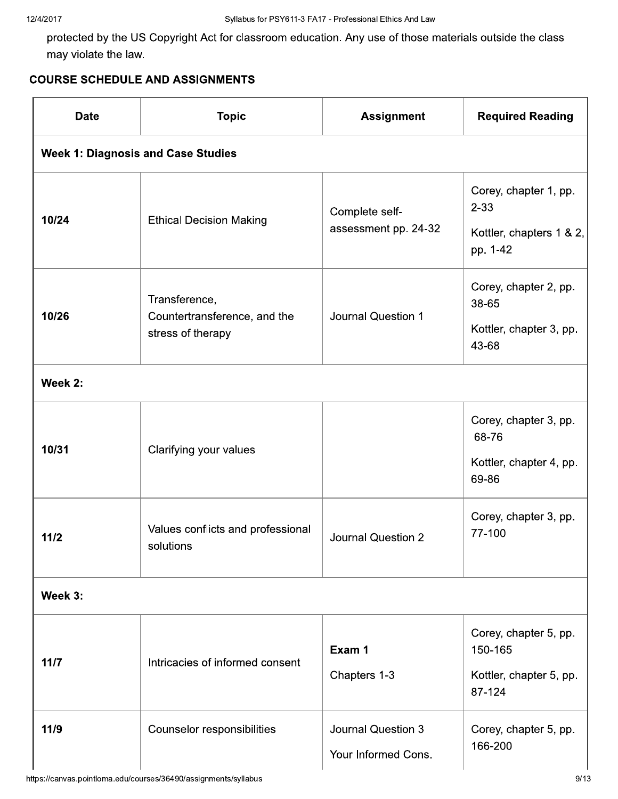protected by the US Copyright Act for classroom education. Any use of those materials outside the class may violate the law.

# **COURSE SCHEDULE AND ASSIGNMENTS**

| <b>Date</b>                               | <b>Topic</b>                                                       | <b>Assignment</b>                                | <b>Required Reading</b>                                                   |
|-------------------------------------------|--------------------------------------------------------------------|--------------------------------------------------|---------------------------------------------------------------------------|
| <b>Week 1: Diagnosis and Case Studies</b> |                                                                    |                                                  |                                                                           |
| 10/24                                     | <b>Ethical Decision Making</b>                                     | Complete self-<br>assessment pp. 24-32           | Corey, chapter 1, pp.<br>$2 - 33$<br>Kottler, chapters 1 & 2,<br>pp. 1-42 |
| 10/26                                     | Transference,<br>Countertransference, and the<br>stress of therapy | <b>Journal Question 1</b>                        | Corey, chapter 2, pp.<br>38-65<br>Kottler, chapter 3, pp.<br>43-68        |
| Week 2:                                   |                                                                    |                                                  |                                                                           |
| 10/31                                     | Clarifying your values                                             |                                                  | Corey, chapter 3, pp.<br>68-76<br>Kottler, chapter 4, pp.<br>69-86        |
| 11/2                                      | Values conflicts and professional<br>solutions                     | Journal Question 2                               | Corey, chapter 3, pp.<br>77-100                                           |
| Week 3:                                   |                                                                    |                                                  |                                                                           |
| $11/7$                                    | Intricacies of informed consent                                    | Exam 1<br>Chapters 1-3                           | Corey, chapter 5, pp.<br>150-165<br>Kottler, chapter 5, pp.<br>87-124     |
| 11/9                                      | Counselor responsibilities                                         | <b>Journal Question 3</b><br>Your Informed Cons. | Corey, chapter 5, pp.<br>166-200                                          |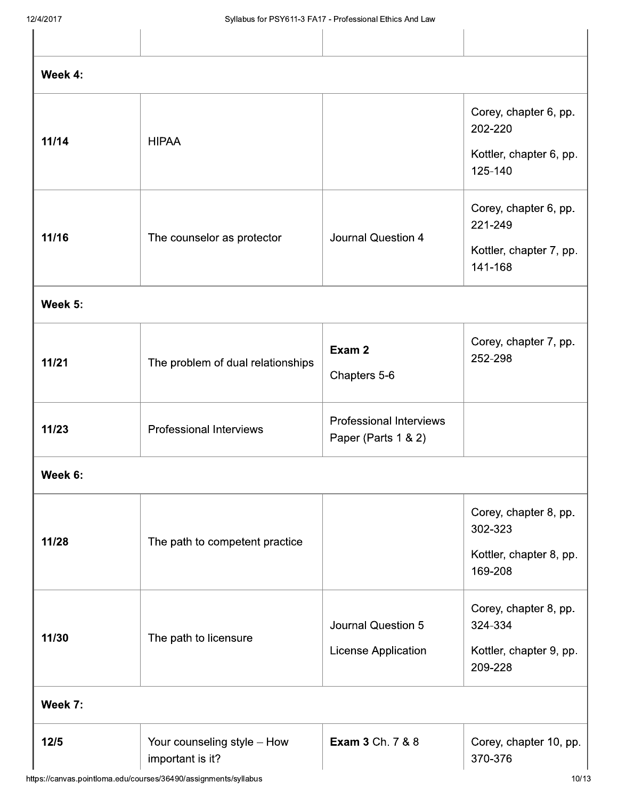| - - - - - - - -  |                                                 | Official in the control of the control of the control cannot have the case |                                                                        |
|------------------|-------------------------------------------------|----------------------------------------------------------------------------|------------------------------------------------------------------------|
|                  |                                                 |                                                                            |                                                                        |
| Week 4:          |                                                 |                                                                            |                                                                        |
| 11/14            | <b>HIPAA</b>                                    |                                                                            | Corey, chapter 6, pp.<br>202-220<br>Kottler, chapter 6, pp.<br>125-140 |
| 11/16            | The counselor as protector                      | <b>Journal Question 4</b>                                                  | Corey, chapter 6, pp.<br>221-249<br>Kottler, chapter 7, pp.<br>141-168 |
| Week 5:          |                                                 |                                                                            |                                                                        |
| 11/21            | The problem of dual relationships               | Exam 2<br>Chapters 5-6                                                     | Corey, chapter 7, pp.<br>252-298                                       |
| 11/23            | <b>Professional Interviews</b>                  | <b>Professional Interviews</b><br>Paper (Parts 1 & 2)                      |                                                                        |
| Week 6:          |                                                 |                                                                            |                                                                        |
| 11/28            | The path to competent practice                  |                                                                            | Corey, chapter 8, pp.<br>302-323<br>Kottler, chapter 8, pp.<br>169-208 |
| 11/30<br>Week 7: | The path to licensure                           | <b>Journal Question 5</b><br>License Application                           | Corey, chapter 8, pp.<br>324-334<br>Kottler, chapter 9, pp.<br>209-228 |
|                  |                                                 |                                                                            |                                                                        |
| $12/5$           | Your counseling style - How<br>important is it? | <b>Exam 3 Ch. 7 &amp; 8</b>                                                | Corey, chapter 10, pp.<br>370-376                                      |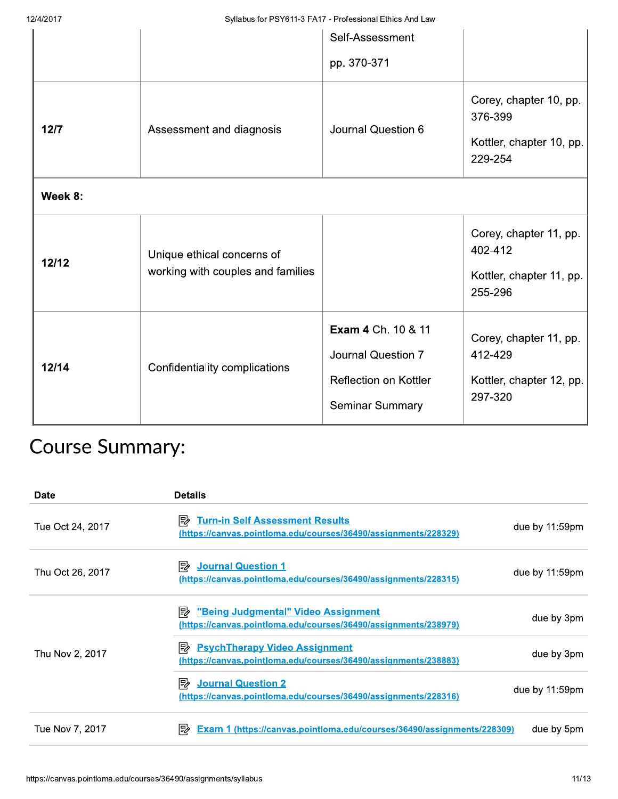|                        |                                                                 | Self-Assessment                                                                             |                                                                          |
|------------------------|-----------------------------------------------------------------|---------------------------------------------------------------------------------------------|--------------------------------------------------------------------------|
|                        |                                                                 | pp. 370-371                                                                                 |                                                                          |
| $12/7$                 | Assessment and diagnosis                                        | Journal Question 6                                                                          | Corey, chapter 10, pp.<br>376-399<br>Kottler, chapter 10, pp.<br>229-254 |
| Week 8:                |                                                                 |                                                                                             |                                                                          |
| 12/12                  | Unique ethical concerns of<br>working with couples and families |                                                                                             | Corey, chapter 11, pp.<br>402-412<br>Kottler, chapter 11, pp.<br>255-296 |
| 12/14                  | Confidentiality complications                                   | Exam 4 Ch. 10 & 11<br>Journal Question 7<br>Reflection on Kottler<br><b>Seminar Summary</b> | Corey, chapter 11, pp.<br>412-429<br>Kottler, chapter 12, pp.<br>297-320 |
| <b>Course Summary:</b> |                                                                 |                                                                                             |                                                                          |

# Course Summary:

| <b>Date</b>      | <b>Details</b>                                                                                                 |                |
|------------------|----------------------------------------------------------------------------------------------------------------|----------------|
| Tue Oct 24, 2017 | <b>Turn-in Self Assessment Results</b><br>駗<br>(https://canvas.pointloma.edu/courses/36490/assignments/228329) | due by 11:59pm |
| Thu Oct 26, 2017 | 國<br><b>Journal Question 1</b><br>(https://canvas.pointloma.edu/courses/36490/assignments/228315)              | due by 11:59pm |
|                  | į<br>"Being Judgmental" Video Assignment<br>(https://canvas.pointloma.edu/courses/36490/assignments/238979)    | due by 3pm     |
| Thu Nov 2, 2017  | 國<br><b>PsychTherapy Video Assignment</b><br>(https://canvas.pointloma.edu/courses/36490/assignments/238883)   | due by 3pm     |
|                  | ι<br><b>Journal Question 2</b><br>(https://canvas.pointloma.edu/courses/36490/assignments/228316)              | due by 11:59pm |
| Tue Nov 7, 2017  | į<br>Exam 1 (https://canvas.pointloma.edu/courses/36490/assignments/228309)                                    | due by 5pm     |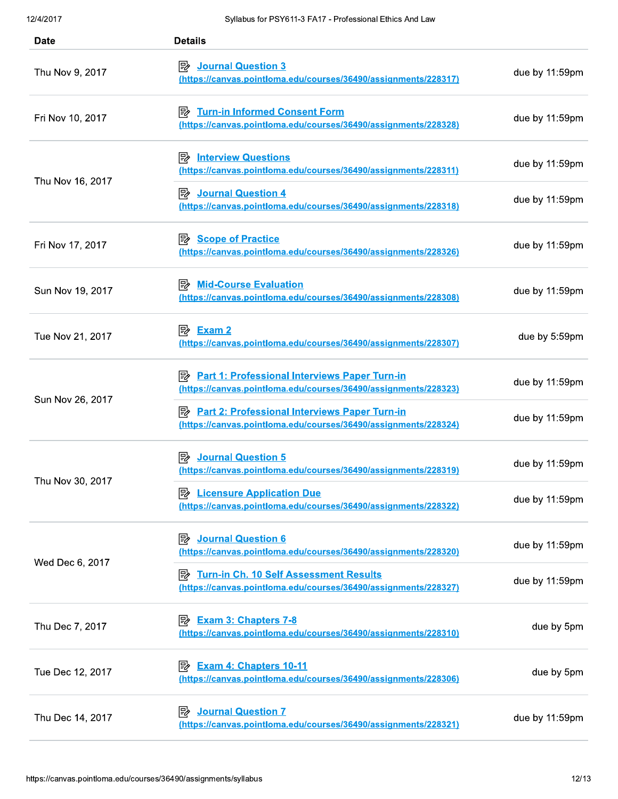| 12/4/2017        | Syllabus for PSY611-3 FA17 - Professional Ethics And Law                                                                     |                |
|------------------|------------------------------------------------------------------------------------------------------------------------------|----------------|
| <b>Date</b>      | <b>Details</b>                                                                                                               |                |
| Thu Nov 9, 2017  | <b>Journal Question 3</b><br>昬<br>(https://canvas.pointloma.edu/courses/36490/assignments/228317)                            | due by 11:59pm |
| Fri Nov 10, 2017 | <b>Turn-in Informed Consent Form</b><br>眕<br>(https://canvas.pointloma.edu/courses/36490/assignments/228328)                 | due by 11:59pm |
| Thu Nov 16, 2017 | 歐<br><b>Interview Questions</b><br>(https://canvas.pointloma.edu/courses/36490/assignments/228311)                           | due by 11:59pm |
|                  | 國<br><b>Journal Question 4</b><br>(https://canvas.pointloma.edu/courses/36490/assignments/228318)                            | due by 11:59pm |
| Fri Nov 17, 2017 | 國<br><b>Scope of Practice</b><br>(https://canvas.pointloma.edu/courses/36490/assignments/228326)                             | due by 11:59pm |
| Sun Nov 19, 2017 | <b>Mid-Course Evaluation</b><br>國<br>(https://canvas.pointloma.edu/courses/36490/assignments/228308)                         | due by 11:59pm |
| Tue Nov 21, 2017 | (https://canvas.pointloma.edu/courses/36490/assignments/228307)                                                              | due by 5:59pm  |
| Sun Nov 26, 2017 | <b>Part 1: Professional Interviews Paper Turn-in</b><br>眕<br>(https://canvas.pointloma.edu/courses/36490/assignments/228323) | due by 11:59pm |
|                  | <b>Part 2: Professional Interviews Paper Turn-in</b><br>國<br>(https://canvas.pointloma.edu/courses/36490/assignments/228324) | due by 11:59pm |
| Thu Nov 30, 2017 | <b>Journal Question 5</b><br>國<br>(https://canvas.pointloma.edu/courses/36490/assignments/228319)                            | due by 11:59pm |
|                  | 國<br><b>Licensure Application Due</b><br>(https://canvas.pointloma.edu/courses/36490/assignments/228322)                     | due by 11:59pm |
| Wed Dec 6, 2017  | <b>Journal Question 6</b><br>郾<br>(https://canvas.pointloma.edu/courses/36490/assignments/228320)                            | due by 11:59pm |
|                  | Turn-in Ch. 10 Self Assessment Results<br>駗<br>(https://canvas.pointloma.edu/courses/36490/assignments/228327)               | due by 11:59pm |
| Thu Dec 7, 2017  | 勖<br><b>Exam 3: Chapters 7-8</b><br>(https://canvas.pointloma.edu/courses/36490/assignments/228310)                          | due by 5pm     |
| Tue Dec 12, 2017 | 歐<br><b>Exam 4: Chapters 10-11</b><br>(https://canvas.pointloma.edu/courses/36490/assignments/228306)                        | due by 5pm     |
| Thu Dec 14, 2017 | <b>Journal Question 7</b><br>歐<br>(https://canvas.pointloma.edu/courses/36490/assignments/228321)                            | due by 11:59pm |
|                  | https://canvas.pointloma.edu/courses/36490/assignments/syllabus                                                              | 12/13          |